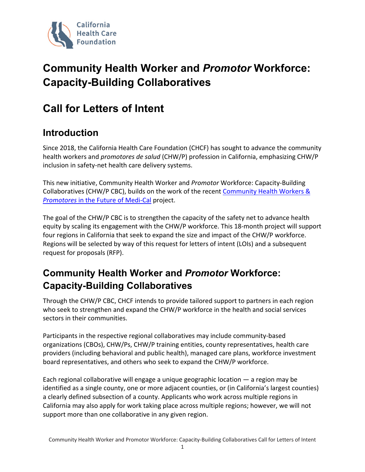

# **Community Health Worker and** *Promotor* **Workforce: Capacity-Building Collaboratives**

## **Call for Letters of Intent**

#### **Introduction**

Since 2018, the California Health Care Foundation (CHCF) has sought to advance the community health workers and *promotores de salud* (CHW/P) profession in California, emphasizing CHW/P inclusion in safety-net health care delivery systems.

This new initiative, Community Health Worker and *Promotor* Workforce: Capacity-Building Collaboratives (CHW/P CBC), builds on the work of the recent [Community Health Workers &](https://www.chcf.org/resource/community-health-workers-promotores-medi-cal/)  *Promotores* [in the Future of Medi-Cal](https://www.chcf.org/resource/community-health-workers-promotores-medi-cal/) project.

The goal of the CHW/P CBC is to strengthen the capacity of the safety net to advance health equity by scaling its engagement with the CHW/P workforce. This 18-month project will support four regions in California that seek to expand the size and impact of the CHW/P workforce. Regions will be selected by way of this request for letters of intent (LOIs) and a subsequent request for proposals (RFP).

#### **Community Health Worker and** *Promotor* **Workforce: Capacity-Building Collaboratives**

Through the CHW/P CBC, CHCF intends to provide tailored support to partners in each region who seek to strengthen and expand the CHW/P workforce in the health and social services sectors in their communities.

Participants in the respective regional collaboratives may include community-based organizations (CBOs), CHW/Ps, CHW/P training entities, county representatives, health care providers (including behavioral and public health), managed care plans, workforce investment board representatives, and others who seek to expand the CHW/P workforce.

Each regional collaborative will engage a unique geographic location — a region may be identified as a single county, one or more adjacent counties, or (in California's largest counties) a clearly defined subsection of a county. Applicants who work across multiple regions in California may also apply for work taking place across multiple regions; however, we will not support more than one collaborative in any given region.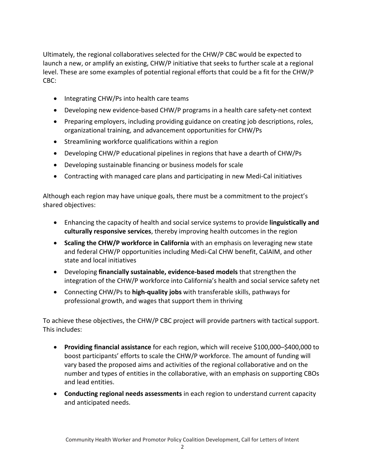Ultimately, the regional collaboratives selected for the CHW/P CBC would be expected to launch a new, or amplify an existing, CHW/P initiative that seeks to further scale at a regional level. These are some examples of potential regional efforts that could be a fit for the CHW/P CBC:

- Integrating CHW/Ps into health care teams
- Developing new evidence-based CHW/P programs in a health care safety-net context
- Preparing employers, including providing guidance on creating job descriptions, roles, organizational training, and advancement opportunities for CHW/Ps
- Streamlining workforce qualifications within a region
- Developing CHW/P educational pipelines in regions that have a dearth of CHW/Ps
- Developing sustainable financing or business models for scale
- Contracting with managed care plans and participating in new Medi-Cal initiatives

Although each region may have unique goals, there must be a commitment to the project's shared objectives:

- Enhancing the capacity of health and social service systems to provide **linguistically and culturally responsive services**, thereby improving health outcomes in the region
- **Scaling the CHW/P workforce in California** with an emphasis on leveraging new state and federal CHW/P opportunities including Medi-Cal CHW benefit, CalAIM, and other state and local initiatives
- Developing **financially sustainable, evidence-based models** that strengthen the integration of the CHW/P workforce into California's health and social service safety net
- Connecting CHW/Ps to **high-quality jobs** with transferable skills, pathways for professional growth, and wages that support them in thriving

To achieve these objectives, the CHW/P CBC project will provide partners with tactical support. This includes:

- **Providing financial assistance** for each region, which will receive \$100,000–\$400,000 to boost participants' efforts to scale the CHW/P workforce. The amount of funding will vary based the proposed aims and activities of the regional collaborative and on the number and types of entities in the collaborative, with an emphasis on supporting CBOs and lead entities.
- **Conducting regional needs assessments** in each region to understand current capacity and anticipated needs.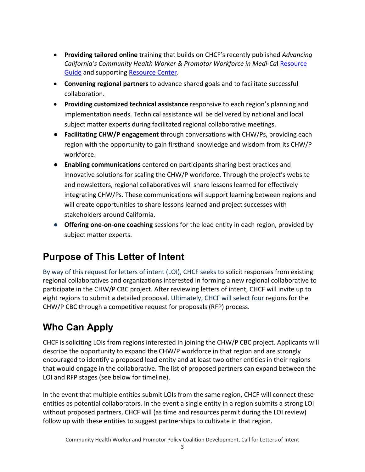- **Providing tailored online** training that builds on CHCF's recently published *Advancing California's Community Health Worker & Promotor Workforce in Medi-Ca*l [Resource](https://www.chcf.org/wp-content/uploads/2021/09/AdvancingCAsCHWPWorkforceInMediCal.pdf)  [Guide](https://www.chcf.org/wp-content/uploads/2021/09/AdvancingCAsCHWPWorkforceInMediCal.pdf) and supporting [Resource Center.](https://www.chcf.org/resource-center/advancing-californias-community-health-worker-promotor-workforce-medi-cal/)
- **Convening regional partners** to advance shared goals and to facilitate successful collaboration.
- **Providing customized technical assistance** responsive to each region's planning and implementation needs. Technical assistance will be delivered by national and local subject matter experts during facilitated regional collaborative meetings.
- **Facilitating CHW/P engagement** through conversations with CHW/Ps, providing each region with the opportunity to gain firsthand knowledge and wisdom from its CHW/P workforce.
- **Enabling communications** centered on participants sharing best practices and innovative solutions for scaling the CHW/P workforce. Through the project's website and newsletters, regional collaboratives will share lessons learned for effectively integrating CHW/Ps. These communications will support learning between regions and will create opportunities to share lessons learned and project successes with stakeholders around California.
- **Offering one-on-one coaching** sessions for the lead entity in each region, provided by subject matter experts.

#### **Purpose of This Letter of Intent**

By way of this request for letters of intent (LOI), CHCF seeks to solicit responses from existing regional collaboratives and organizations interested in forming a new regional collaborative to participate in the CHW/P CBC project. After reviewing letters of intent, CHCF will invite up to eight regions to submit a detailed proposal. Ultimately, CHCF will select four regions for the CHW/P CBC through a competitive request for proposals (RFP) process.

### **Who Can Apply**

CHCF is soliciting LOIs from regions interested in joining the CHW/P CBC project. Applicants will describe the opportunity to expand the CHW/P workforce in that region and are strongly encouraged to identify a proposed lead entity and at least two other entities in their regions that would engage in the collaborative. The list of proposed partners can expand between the LOI and RFP stages (see below for timeline).

In the event that multiple entities submit LOIs from the same region, CHCF will connect these entities as potential collaborators. In the event a single entity in a region submits a strong LOI without proposed partners, CHCF will (as time and resources permit during the LOI review) follow up with these entities to suggest partnerships to cultivate in that region.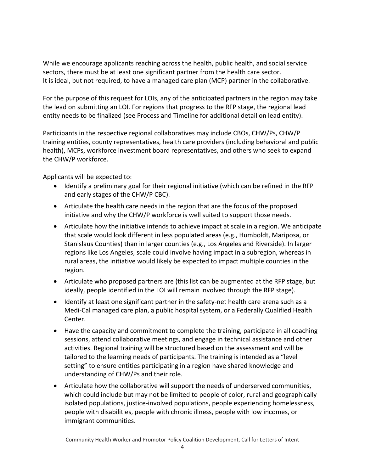While we encourage applicants reaching across the health, public health, and social service sectors, there must be at least one significant partner from the health care sector. It is ideal, but not required, to have a managed care plan (MCP) partner in the collaborative.

For the purpose of this request for LOIs, any of the anticipated partners in the region may take the lead on submitting an LOI. For regions that progress to the RFP stage, the regional lead entity needs to be finalized (see Process and Timeline for additional detail on lead entity).

Participants in the respective regional collaboratives may include CBOs, CHW/Ps, CHW/P training entities, county representatives, health care providers (including behavioral and public health), MCPs, workforce investment board representatives, and others who seek to expand the CHW/P workforce.

Applicants will be expected to:

- Identify a preliminary goal for their regional initiative (which can be refined in the RFP and early stages of the CHW/P CBC).
- Articulate the health care needs in the region that are the focus of the proposed initiative and why the CHW/P workforce is well suited to support those needs.
- Articulate how the initiative intends to achieve impact at scale in a region. We anticipate that scale would look different in less populated areas (e.g., Humboldt, Mariposa, or Stanislaus Counties) than in larger counties (e.g., Los Angeles and Riverside). In larger regions like Los Angeles, scale could involve having impact in a subregion, whereas in rural areas, the initiative would likely be expected to impact multiple counties in the region.
- Articulate who proposed partners are (this list can be augmented at the RFP stage, but ideally, people identified in the LOI will remain involved through the RFP stage).
- Identify at least one significant partner in the safety-net health care arena such as a Medi-Cal managed care plan, a public hospital system, or a Federally Qualified Health Center.
- Have the capacity and commitment to complete the training, participate in all coaching sessions, attend collaborative meetings, and engage in technical assistance and other activities. Regional training will be structured based on the assessment and will be tailored to the learning needs of participants. The training is intended as a "level setting" to ensure entities participating in a region have shared knowledge and understanding of CHW/Ps and their role.
- Articulate how the collaborative will support the needs of underserved communities, which could include but may not be limited to people of color, rural and geographically isolated populations, justice-involved populations, people experiencing homelessness, people with disabilities, people with chronic illness, people with low incomes, or immigrant communities.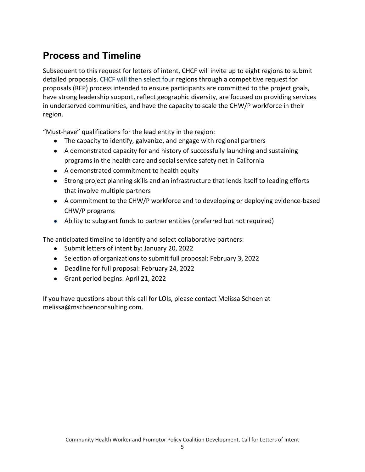#### **Process and Timeline**

Subsequent to this request for letters of intent, CHCF will invite up to eight regions to submit detailed proposals. CHCF will then select four regions through a competitive request for proposals (RFP) process intended to ensure participants are committed to the project goals, have strong leadership support, reflect geographic diversity, are focused on providing services in underserved communities, and have the capacity to scale the CHW/P workforce in their region.

"Must-have" qualifications for the lead entity in the region:

- The capacity to identify, galvanize, and engage with regional partners
- A demonstrated capacity for and history of successfully launching and sustaining programs in the health care and social service safety net in California
- A demonstrated commitment to health equity
- Strong project planning skills and an infrastructure that lends itself to leading efforts that involve multiple partners
- A commitment to the CHW/P workforce and to developing or deploying evidence-based CHW/P programs
- Ability to subgrant funds to partner entities (preferred but not required)

The anticipated timeline to identify and select collaborative partners:

- Submit letters of intent by: January 20, 2022
- Selection of organizations to submit full proposal: February 3, 2022
- Deadline for full proposal: February 24, 2022
- Grant period begins: April 21, 2022

If you have questions about this call for LOIs, please contact Melissa Schoen at melissa@mschoenconsulting.com.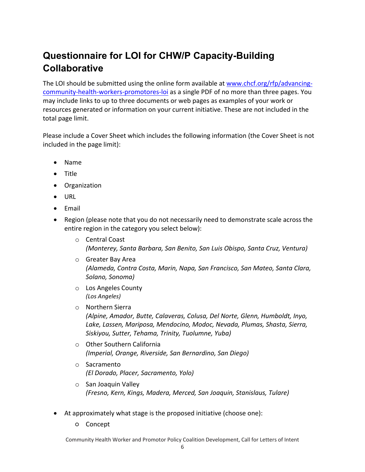## **Questionnaire for LOI for CHW/P Capacity-Building Collaborative**

The LOI should be submitted using the online form available at [www.chcf.org/rfp/advancing](https://www.chcf.org/rfp/advancing-community-health-workers-promotores-loi/)[community-health-workers-promotores-loi](https://www.chcf.org/rfp/advancing-community-health-workers-promotores-loi/) as a single PDF of no more than three pages. You may include links to up to three documents or web pages as examples of your work or resources generated or information on your current initiative. These are not included in the total page limit.

Please include a Cover Sheet which includes the following information (the Cover Sheet is not included in the page limit):

- Name
- Title
- Organization
- URL
- Email
- Region (please note that you do not necessarily need to demonstrate scale across the entire region in the category you select below):
	- o Central Coast *(Monterey, Santa Barbara, San Benito, San Luis Obispo, Santa Cruz, Ventura)*
	- o Greater Bay Area *(Alameda, Contra Costa, Marin, Napa, San Francisco, San Mateo, Santa Clara, Solano, Sonoma)*
	- o Los Angeles County *(Los Angeles)*
	- o Northern Sierra *(Alpine, Amador, Butte, Calaveras, Colusa, Del Norte, Glenn, Humboldt, Inyo, Lake, Lassen, Mariposa, Mendocino, Modoc, Nevada, Plumas, Shasta, Sierra, Siskiyou, Sutter, Tehama, Trinity, Tuolumne, Yuba)*
	- o Other Southern California *(Imperial, Orange, Riverside, San Bernardino, San Diego)*
	- o Sacramento *(El Dorado, Placer, Sacramento, Yolo)*
	- o San Joaquin Valley *(Fresno, Kern, Kings, Madera, Merced, San Joaquin, Stanislaus, Tulare)*
- At approximately what stage is the proposed initiative (choose one):
	- Concept

Community Health Worker and Promotor Policy Coalition Development, Call for Letters of Intent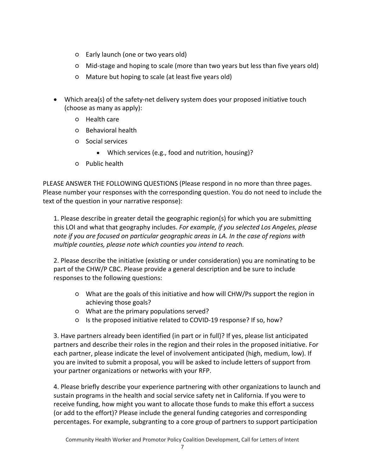- Early launch (one or two years old)
- Mid-stage and hoping to scale (more than two years but less than five years old)
- Mature but hoping to scale (at least five years old)
- Which area(s) of the safety-net delivery system does your proposed initiative touch (choose as many as apply):
	- Health care
	- Behavioral health
	- Social services
		- Which services (e.g., food and nutrition, housing)?
	- Public health

PLEASE ANSWER THE FOLLOWING QUESTIONS (Please respond in no more than three pages. Please number your responses with the corresponding question. You do not need to include the text of the question in your narrative response):

1. Please describe in greater detail the geographic region(s) for which you are submitting this LOI and what that geography includes. *For example, if you selected Los Angeles, please note if you are focused on particular geographic areas in LA. In the case of regions with multiple counties, please note which counties you intend to reach.*

2. Please describe the initiative (existing or under consideration) you are nominating to be part of the CHW/P CBC. Please provide a general description and be sure to include responses to the following questions:

- What are the goals of this initiative and how will CHW/Ps support the region in achieving those goals?
- What are the primary populations served?
- Is the proposed initiative related to COVID-19 response? If so, how?

3. Have partners already been identified (in part or in full)? If yes, please list anticipated partners and describe their roles in the region and their roles in the proposed initiative. For each partner, please indicate the level of involvement anticipated (high, medium, low). If you are invited to submit a proposal, you will be asked to include letters of support from your partner organizations or networks with your RFP.

4. Please briefly describe your experience partnering with other organizations to launch and sustain programs in the health and social service safety net in California. If you were to receive funding, how might you want to allocate those funds to make this effort a success (or add to the effort)? Please include the general funding categories and corresponding percentages. For example, subgranting to a core group of partners to support participation